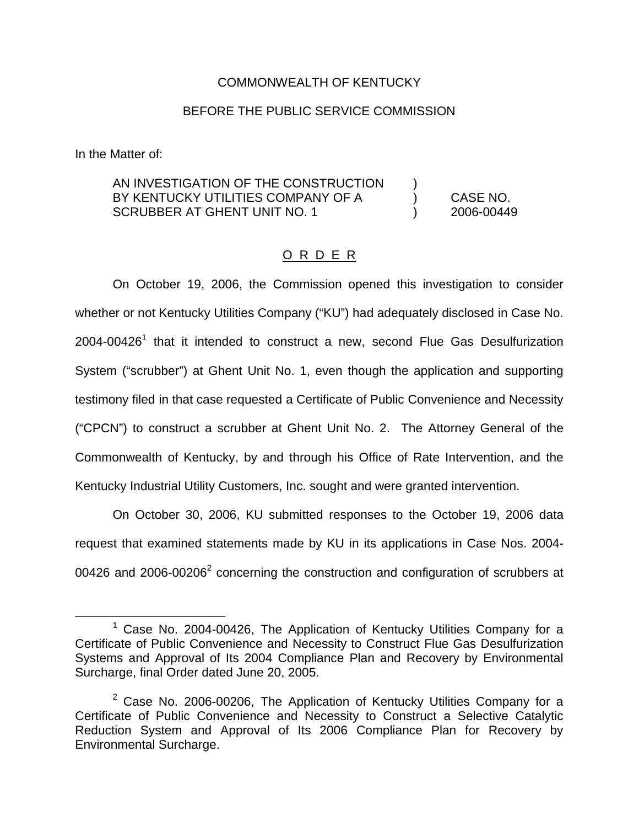## COMMONWEALTH OF KENTUCKY

### BEFORE THE PUBLIC SERVICE COMMISSION

In the Matter of:

# AN INVESTIGATION OF THE CONSTRUCTION BY KENTUCKY UTILITIES COMPANY OF A (CASE NO. SCRUBBER AT GHENT UNIT NO. 1 (2006-00449)

#### O R D E R

On October 19, 2006, the Commission opened this investigation to consider whether or not Kentucky Utilities Company ("KU") had adequately disclosed in Case No.  $2004$ -00426<sup>1</sup> that it intended to construct a new, second Flue Gas Desulfurization System ("scrubber") at Ghent Unit No. 1, even though the application and supporting testimony filed in that case requested a Certificate of Public Convenience and Necessity ("CPCN") to construct a scrubber at Ghent Unit No. 2. The Attorney General of the Commonwealth of Kentucky, by and through his Office of Rate Intervention, and the Kentucky Industrial Utility Customers, Inc. sought and were granted intervention.

On October 30, 2006, KU submitted responses to the October 19, 2006 data request that examined statements made by KU in its applications in Case Nos. 2004- 00426 and 2006-00206 $^2$  concerning the construction and configuration of scrubbers at

 $1$  Case No. 2004-00426, The Application of Kentucky Utilities Company for a Certificate of Public Convenience and Necessity to Construct Flue Gas Desulfurization Systems and Approval of Its 2004 Compliance Plan and Recovery by Environmental Surcharge, final Order dated June 20, 2005.

 $2$  Case No. 2006-00206, The Application of Kentucky Utilities Company for a Certificate of Public Convenience and Necessity to Construct a Selective Catalytic Reduction System and Approval of Its 2006 Compliance Plan for Recovery by Environmental Surcharge.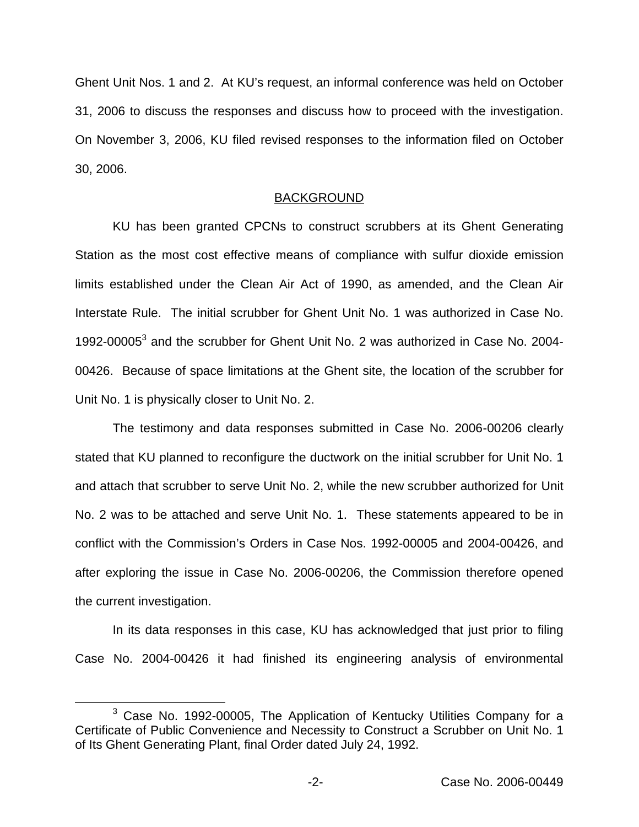Ghent Unit Nos. 1 and 2. At KU's request, an informal conference was held on October 31, 2006 to discuss the responses and discuss how to proceed with the investigation. On November 3, 2006, KU filed revised responses to the information filed on October 30, 2006.

#### BACKGROUND

KU has been granted CPCNs to construct scrubbers at its Ghent Generating Station as the most cost effective means of compliance with sulfur dioxide emission limits established under the Clean Air Act of 1990, as amended, and the Clean Air Interstate Rule. The initial scrubber for Ghent Unit No. 1 was authorized in Case No. 1992-00005<sup>3</sup> and the scrubber for Ghent Unit No. 2 was authorized in Case No. 2004-00426. Because of space limitations at the Ghent site, the location of the scrubber for Unit No. 1 is physically closer to Unit No. 2.

The testimony and data responses submitted in Case No. 2006-00206 clearly stated that KU planned to reconfigure the ductwork on the initial scrubber for Unit No. 1 and attach that scrubber to serve Unit No. 2, while the new scrubber authorized for Unit No. 2 was to be attached and serve Unit No. 1. These statements appeared to be in conflict with the Commission's Orders in Case Nos. 1992-00005 and 2004-00426, and after exploring the issue in Case No. 2006-00206, the Commission therefore opened the current investigation.

In its data responses in this case, KU has acknowledged that just prior to filing Case No. 2004-00426 it had finished its engineering analysis of environmental

<sup>3</sup> Case No. 1992-00005, The Application of Kentucky Utilities Company for a Certificate of Public Convenience and Necessity to Construct a Scrubber on Unit No. 1 of Its Ghent Generating Plant, final Order dated July 24, 1992.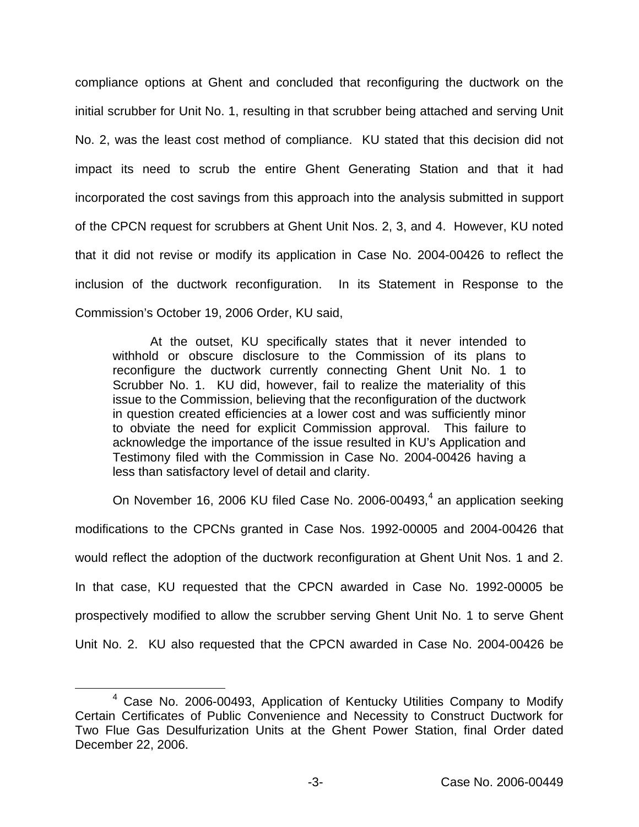compliance options at Ghent and concluded that reconfiguring the ductwork on the initial scrubber for Unit No. 1, resulting in that scrubber being attached and serving Unit No. 2, was the least cost method of compliance. KU stated that this decision did not impact its need to scrub the entire Ghent Generating Station and that it had incorporated the cost savings from this approach into the analysis submitted in support of the CPCN request for scrubbers at Ghent Unit Nos. 2, 3, and 4. However, KU noted that it did not revise or modify its application in Case No. 2004-00426 to reflect the inclusion of the ductwork reconfiguration. In its Statement in Response to the Commission's October 19, 2006 Order, KU said,

At the outset, KU specifically states that it never intended to withhold or obscure disclosure to the Commission of its plans to reconfigure the ductwork currently connecting Ghent Unit No. 1 to Scrubber No. 1. KU did, however, fail to realize the materiality of this issue to the Commission, believing that the reconfiguration of the ductwork in question created efficiencies at a lower cost and was sufficiently minor to obviate the need for explicit Commission approval. This failure to acknowledge the importance of the issue resulted in KU's Application and Testimony filed with the Commission in Case No. 2004-00426 having a less than satisfactory level of detail and clarity.

On November 16, 2006 KU filed Case No. 2006-00493,<sup>4</sup> an application seeking modifications to the CPCNs granted in Case Nos. 1992-00005 and 2004-00426 that would reflect the adoption of the ductwork reconfiguration at Ghent Unit Nos. 1 and 2. In that case, KU requested that the CPCN awarded in Case No. 1992-00005 be prospectively modified to allow the scrubber serving Ghent Unit No. 1 to serve Ghent Unit No. 2. KU also requested that the CPCN awarded in Case No. 2004-00426 be

<sup>4</sup> Case No. 2006-00493, Application of Kentucky Utilities Company to Modify Certain Certificates of Public Convenience and Necessity to Construct Ductwork for Two Flue Gas Desulfurization Units at the Ghent Power Station, final Order dated December 22, 2006.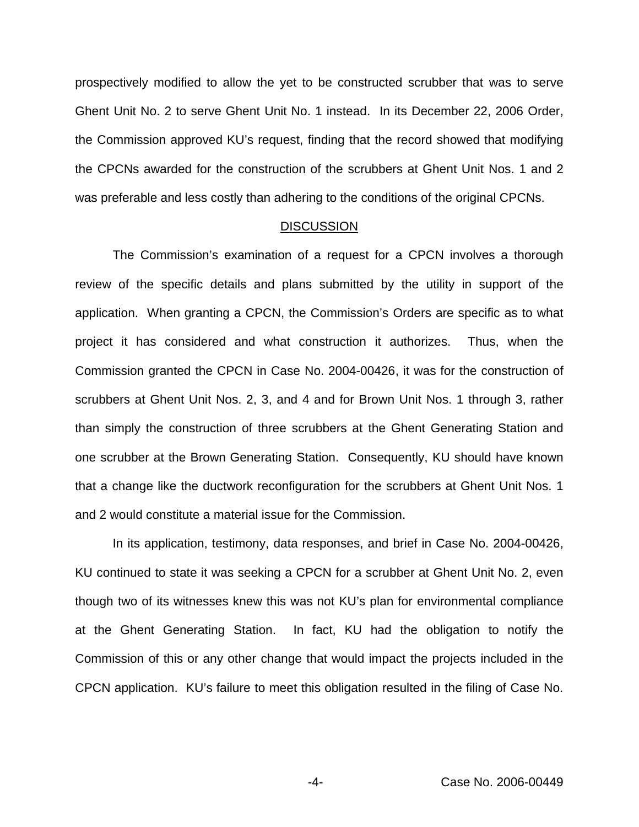prospectively modified to allow the yet to be constructed scrubber that was to serve Ghent Unit No. 2 to serve Ghent Unit No. 1 instead. In its December 22, 2006 Order, the Commission approved KU's request, finding that the record showed that modifying the CPCNs awarded for the construction of the scrubbers at Ghent Unit Nos. 1 and 2 was preferable and less costly than adhering to the conditions of the original CPCNs.

#### **DISCUSSION**

The Commission's examination of a request for a CPCN involves a thorough review of the specific details and plans submitted by the utility in support of the application. When granting a CPCN, the Commission's Orders are specific as to what project it has considered and what construction it authorizes. Thus, when the Commission granted the CPCN in Case No. 2004-00426, it was for the construction of scrubbers at Ghent Unit Nos. 2, 3, and 4 and for Brown Unit Nos. 1 through 3, rather than simply the construction of three scrubbers at the Ghent Generating Station and one scrubber at the Brown Generating Station. Consequently, KU should have known that a change like the ductwork reconfiguration for the scrubbers at Ghent Unit Nos. 1 and 2 would constitute a material issue for the Commission.

In its application, testimony, data responses, and brief in Case No. 2004-00426, KU continued to state it was seeking a CPCN for a scrubber at Ghent Unit No. 2, even though two of its witnesses knew this was not KU's plan for environmental compliance at the Ghent Generating Station. In fact, KU had the obligation to notify the Commission of this or any other change that would impact the projects included in the CPCN application. KU's failure to meet this obligation resulted in the filing of Case No.